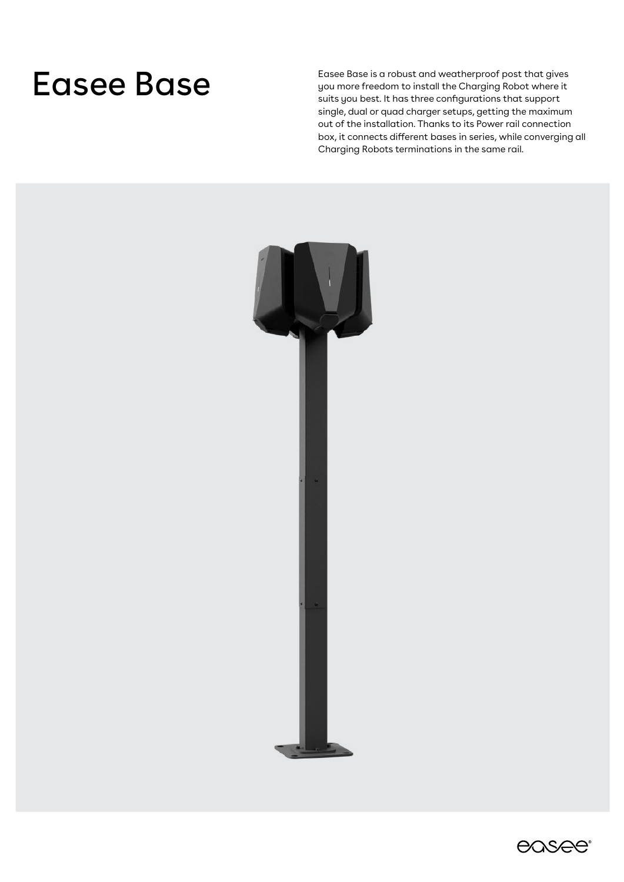Easee Base is a robust and weatherproof post that gives<br>gou more freedom to install the Charging Robot where it you more freedom to install the Charging Robot where it suits you best. It has three configurations that support single, dual or quad charger setups, getting the maximum out of the installation. Thanks to its Power rail connection box, it connects different bases in series, while converging all Charging Robots terminations in the same rail.



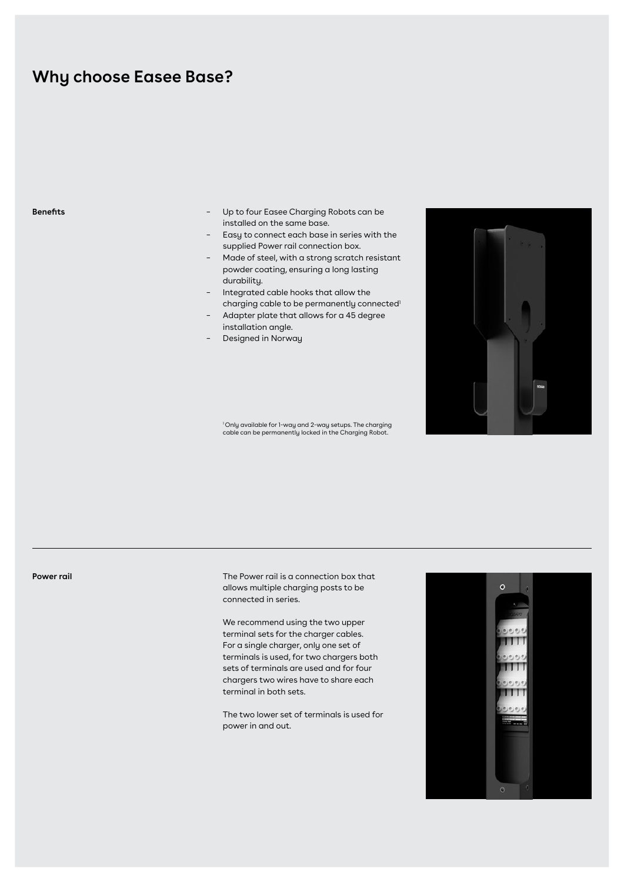## **Why choose Easee Base?**

#### **Benefits**

- Up to four Easee Charging Robots can be installed on the same base. –
- Easy to connect each base in series with the supplied Power rail connection box. –
- Made of steel, with a strong scratch resistant powder coating, ensuring a long lasting durability. –
- Integrated cable hooks that allow the charging cable to be permanently connected<sup>1</sup> –
- Adapter plate that allows for a 45 degree installation angle. –
- Designed in Norway –



1 Only available for 1-way and 2-way setups. The charging cable can be permanently locked in the Charging Robot.

**Power rail**

The Power rail is a connection box that allows multiple charging posts to be connected in series.

We recommend using the two upper terminal sets for the charger cables. For a single charger, only one set of terminals is used, for two chargers both sets of terminals are used and for four chargers two wires have to share each terminal in both sets.

The two lower set of terminals is used for power in and out.

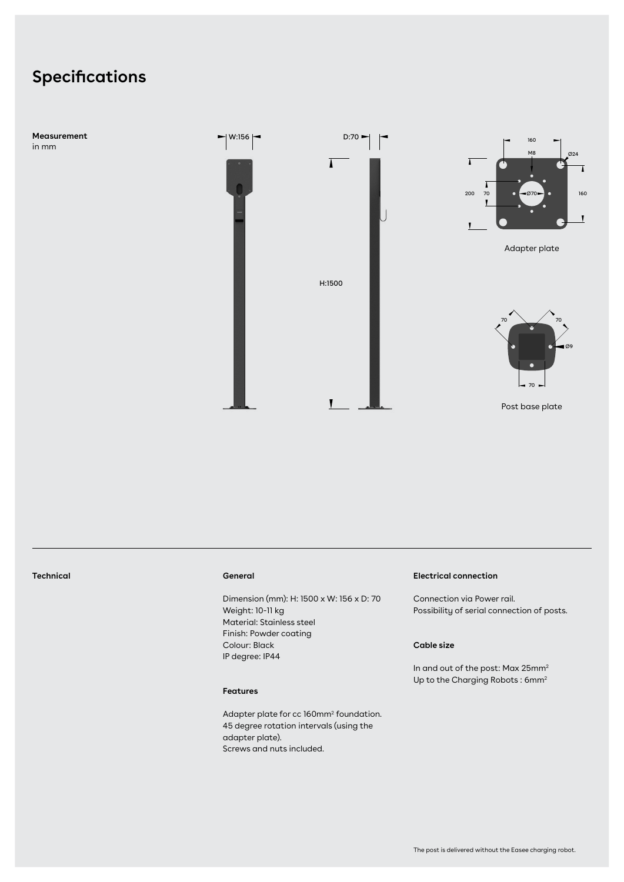# **Specifications**



#### **General**

Dimension (mm): H: 1500 x W: 156 x D: 70 Weight: 10-11 kg Material: Stainless steel Finish: Powder coating Colour: Black IP degree: IP44

### **Features**

Adapter plate for cc 160mm<sup>2</sup> foundation. 45 degree rotation intervals (using the adapter plate). Screws and nuts included.

#### **Technical Electrical connection**

Connection via Power rail. Possibility of serial connection of posts.

### **Cable size**

In and out of the post: Max 25mm2 Up to the Charging Robots: 6mm<sup>2</sup>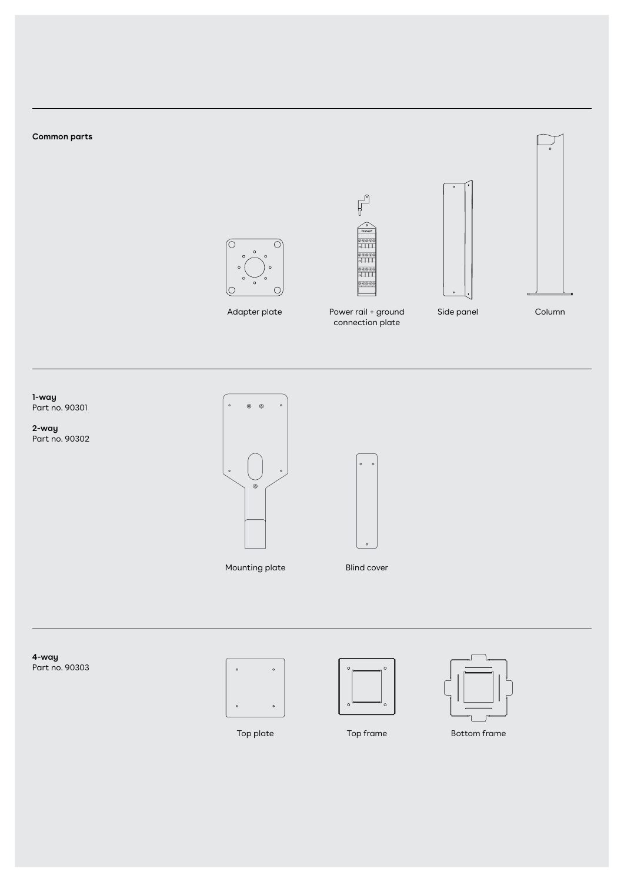## **Common parts**



Adapter plate



Power rail + ground Side panel Column connection plate

 $\mathbb{F}^{\circ}$ 





**1-way**  Part no. 90301

**2-way** Part no. 90302



Mounting plate Blind cover

**4-way** Part no. 90303







Top plate Top frame Bottom frame